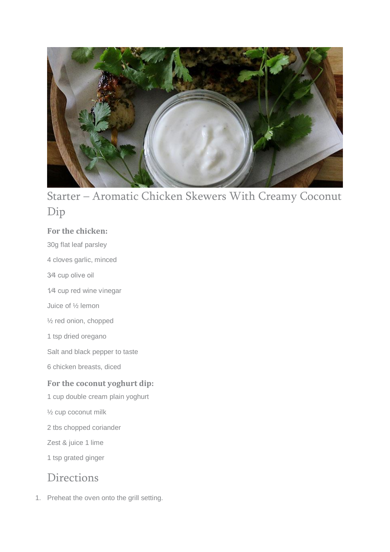

# Starter – Aromatic Chicken Skewers With Creamy Coconut Dip

### **For the chicken:**

- 30g flat leaf parsley
- 4 cloves garlic, minced
- 3⁄4 cup olive oil
- 1⁄4 cup red wine vinegar
- Juice of ½ lemon
- ½ red onion, chopped
- 1 tsp dried oregano
- Salt and black pepper to taste
- 6 chicken breasts, diced

### **For the coconut yoghurt dip:**

- 1 cup double cream plain yoghurt
- ½ cup coconut milk
- 2 tbs chopped coriander
- Zest & juice 1 lime
- 1 tsp grated ginger

### Directions

1. Preheat the oven onto the grill setting.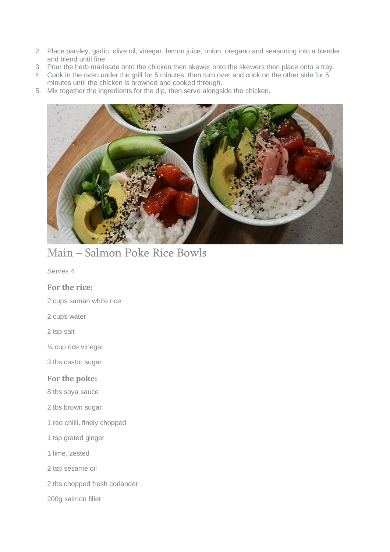- 2. Place parsley, garlic, olive oil, vinegar, lemon juice, onion, oregano and seasoning into a blender and blend until fine.
- 3. Pour the herb marinade onto the chicken then skewer onto the skewers then place onto a tray.
- 4. Cook in the oven under the grill for 5 minutes, then turn over and cook on the other side for 5 minutes until the chicken is browned and cooked through.
- 5. Mix together the ingredients for the dip, then serve alongside the chicken.



### Main – Salmon Poke Rice Bowls

Serves 4

#### **For the rice:**

- 2 cups saman white rice
- 2 cups water
- 2 tsp salt
- ¼ cup rice vinegar
- 3 tbs castor sugar

#### **For the poke:**

- 8 tbs soya sauce
- 2 tbs brown sugar
- 1 red chilli, finely chopped
- 1 tsp grated ginger
- 1 lime, zested
- 2 tsp sesame oil
- 2 tbs chopped fresh coriander
- 200g salmon fillet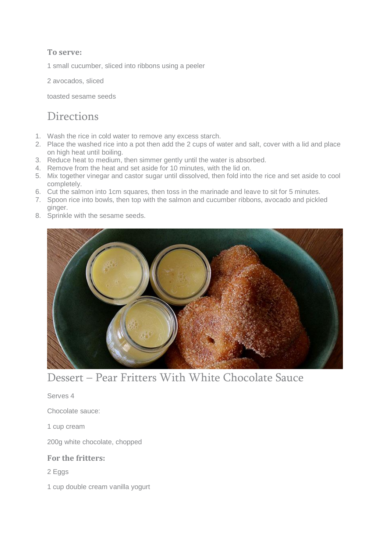### **To serve:**

1 small cucumber, sliced into ribbons using a peeler

2 avocados, sliced

toasted sesame seeds

### **Directions**

- 1. Wash the rice in cold water to remove any excess starch.
- 2. Place the washed rice into a pot then add the 2 cups of water and salt, cover with a lid and place on high heat until boiling.
- 3. Reduce heat to medium, then simmer gently until the water is absorbed.
- 4. Remove from the heat and set aside for 10 minutes, with the lid on.
- 5. Mix together vinegar and castor sugar until dissolved, then fold into the rice and set aside to cool completely.
- 6. Cut the salmon into 1cm squares, then toss in the marinade and leave to sit for 5 minutes.
- 7. Spoon rice into bowls, then top with the salmon and cucumber ribbons, avocado and pickled
- ginger. 8. Sprinkle with the sesame seeds.



## Dessert – Pear Fritters With White Chocolate Sauce

Serves 4

Chocolate sauce:

1 cup cream

200g white chocolate, chopped

#### **For the fritters:**

- 2 Eggs
- 1 cup double cream vanilla yogurt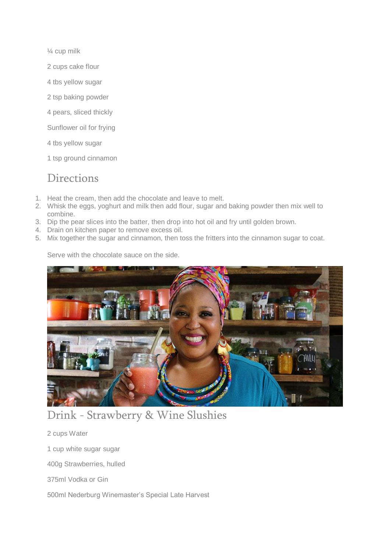¼ cup milk

- 2 cups cake flour
- 4 tbs yellow sugar
- 2 tsp baking powder
- 4 pears, sliced thickly
- Sunflower oil for frying
- 4 tbs yellow sugar
- 1 tsp ground cinnamon

### **Directions**

- 1. Heat the cream, then add the chocolate and leave to melt.
- 2. Whisk the eggs, yoghurt and milk then add flour, sugar and baking powder then mix well to combine.
- 3. Dip the pear slices into the batter, then drop into hot oil and fry until golden brown.
- 4. Drain on kitchen paper to remove excess oil.
- 5. Mix together the sugar and cinnamon, then toss the fritters into the cinnamon sugar to coat.

Serve with the chocolate sauce on the side.



# Drink - Strawberry & Wine Slushies

2 cups Water

1 cup white sugar sugar

400g Strawberries, hulled

375ml Vodka or Gin

500ml Nederburg Winemaster's Special Late Harvest